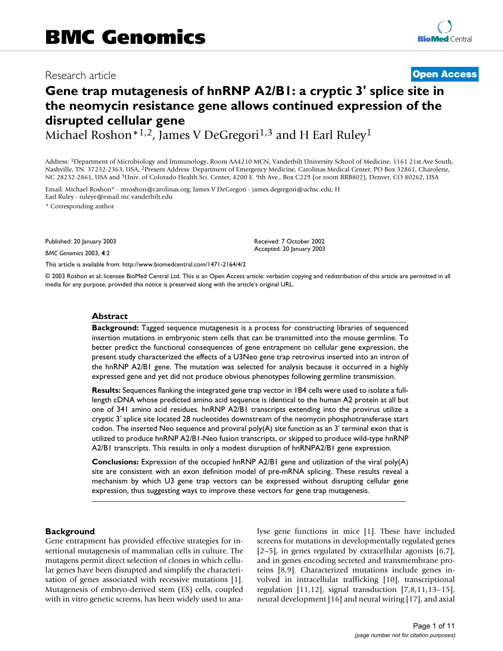# Research article **[Open Access](http://www.biomedcentral.com/info/about/charter/)**

# **Gene trap mutagenesis of hnRNP A2/B1: a cryptic 3' splice site in the neomycin resistance gene allows continued expression of the disrupted cellular gene**

Received: 7 October 2002 Accepted: 20 January 2003

Michael Roshon\*1,2, James V DeGregori<sup>1,3</sup> and H Earl Ruley<sup>1</sup>

Address: 1Department of Microbiology and Immunology, Room AA4210 MCN, Vanderbilt University School of Medicine, 1161 21st Ave South, Nashville, TN. 37232-2363, USA, 2Present Address: Department of Emergency Medicine, Carolinas Medical Center, PO Box 32861, Charolette, NC 28232-2861, USA and 3Univ. of Colorado Health Sci. Center, 4200 E. 9th Ave., Box C229 (or room BRB802), Denver, CO 80262, USA

Email: Michael Roshon\* - mroshon@carolinas.org; James V DeGregori - james.degregori@uchsc.edu; H Earl Ruley - ruleye@email.mc.vanderbilt.edu

\* Corresponding author

Published: 20 January 2003

*BMC Genomics* 2003, **4**:2

[This article is available from: http://www.biomedcentral.com/1471-2164/4/2](http://www.biomedcentral.com/1471-2164/4/2)

© 2003 Roshon et al; licensee BioMed Central Ltd. This is an Open Access article: verbatim copying and redistribution of this article are permitted in all media for any purpose, provided this notice is preserved along with the article's original URL.

#### **Abstract**

**Background:** Tagged sequence mutagenesis is a process for constructing libraries of sequenced insertion mutations in embryonic stem cells that can be transmitted into the mouse germline. To better predict the functional consequences of gene entrapment on cellular gene expression, the present study characterized the effects of a U3Neo gene trap retrovirus inserted into an intron of the hnRNP A2/B1 gene. The mutation was selected for analysis because it occurred in a highly expressed gene and yet did not produce obvious phenotypes following germline transmission.

**Results:** Sequences flanking the integrated gene trap vector in 1B4 cells were used to isolate a fulllength cDNA whose predicted amino acid sequence is identical to the human A2 protein at all but one of 341 amino acid residues. hnRNP A2/B1 transcripts extending into the provirus utilize a cryptic 3' splice site located 28 nucleotides downstream of the neomycin phosphotransferase start codon. The inserted Neo sequence and proviral poly(A) site function as an 3' terminal exon that is utilized to produce hnRNP A2/B1-Neo fusion transcripts, or skipped to produce wild-type hnRNP A2/B1 transcripts. This results in only a modest disruption of hnRNPA2/B1 gene expression.

**Conclusions:** Expression of the occupied hnRNP A2/B1 gene and utilization of the viral poly(A) site are consistent with an exon definition model of pre-mRNA splicing. These results reveal a mechanism by which U3 gene trap vectors can be expressed without disrupting cellular gene expression, thus suggesting ways to improve these vectors for gene trap mutagenesis.

#### **Background**

Gene entrapment has provided effective strategies for insertional mutagenesis of mammalian cells in culture. The mutagens permit direct selection of clones in which cellular genes have been disrupted and simplify the characterisation of genes associated with recessive mutations [1]. Mutagenesis of embryo-derived stem (ES) cells, coupled with in vitro genetic screens, has been widely used to analyse gene functions in mice [1]. These have included screens for mutations in developmentally regulated genes [2–5], in genes regulated by extracellular agonists [6,7], and in genes encoding secreted and transmembrane proteins [8,9]. Characterized mutations include genes involved in intracellular trafficking [10], transcriptional regulation  $[11,12]$ , signal transduction  $[7,8,11,13-15]$ , neural development [[16](#page-9-0)] and neural wiring [17], and axial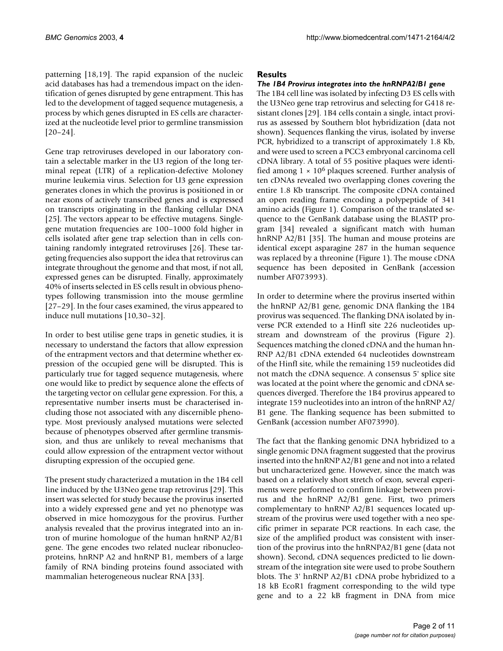patterning [18,19]. The rapid expansion of the nucleic acid databases has had a tremendous impact on the identification of genes disrupted by gene entrapment. This has led to the development of tagged sequence mutagenesis, a process by which genes disrupted in ES cells are characterized at the nucleotide level prior to germline transmission [20–24].

Gene trap retroviruses developed in our laboratory contain a selectable marker in the U3 region of the long terminal repeat (LTR) of a replication-defective Moloney murine leukemia virus. Selection for U3 gene expression generates clones in which the provirus is positioned in or near exons of actively transcribed genes and is expressed on transcripts originating in the flanking cellular DNA [25]. The vectors appear to be effective mutagens. Singlegene mutation frequencies are 100–1000 fold higher in cells isolated after gene trap selection than in cells containing randomly integrated retroviruses [26]. These targeting frequencies also support the idea that retrovirus can integrate throughout the genome and that most, if not all, expressed genes can be disrupted. Finally, approximately 40% of inserts selected in ES cells result in obvious phenotypes following transmission into the mouse germline [[27](#page-9-1)–29]. In the four cases examined, the virus appeared to induce null mutations [10,30–32].

In order to best utilise gene traps in genetic studies, it is necessary to understand the factors that allow expression of the entrapment vectors and that determine whether expression of the occupied gene will be disrupted. This is particularly true for tagged sequence mutagenesis, where one would like to predict by sequence alone the effects of the targeting vector on cellular gene expression. For this, a representative number inserts must be characterised including those not associated with any discernible phenotype. Most previously analysed mutations were selected because of phenotypes observed after germline transmission, and thus are unlikely to reveal mechanisms that could allow expression of the entrapment vector without disrupting expression of the occupied gene.

The present study characterized a mutation in the 1B4 cell line induced by the U3Neo gene trap retrovirus [29]. This insert was selected for study because the provirus inserted into a widely expressed gene and yet no phenotype was observed in mice homozygous for the provirus. Further analysis revealed that the provirus integrated into an intron of murine homologue of the human hnRNP A2/B1 gene. The gene encodes two related nuclear ribonucleoproteins, hnRNP A2 and hnRNP B1, members of a large family of RNA binding proteins found associated with mammalian heterogeneous nuclear RNA [33].

# **Results**

# *The 1B4 Provirus integrates into the hnRNPA2/B1 gene*

The 1B4 cell line was isolated by infecting D3 ES cells with the U3Neo gene trap retrovirus and selecting for G418 resistant clones [29]. 1B4 cells contain a single, intact provirus as assessed by Southern blot hybridization (data not shown). Sequences flanking the virus, isolated by inverse PCR, hybridized to a transcript of approximately 1.8 Kb, and were used to screen a PCC3 embryonal carcinoma cell cDNA library. A total of 55 positive plaques were identified among  $1 \times 10^6$  plaques screened. Further analysis of ten cDNAs revealed two overlapping clones covering the entire 1.8 Kb transcript. The composite cDNA contained an open reading frame encoding a polypeptide of 341 amino acids (Figure [1\)](#page-2-0). Comparison of the translated sequence to the GenBank database using the BLASTP program [34] revealed a significant match with human hnRNP A2/B1 [35]. The human and mouse proteins are identical except asparagine 287 in the human sequence was replaced by a threonine (Figure [1\)](#page-2-0). The mouse cDNA sequence has been deposited in GenBank (accession number AF073993).

In order to determine where the provirus inserted within the hnRNP A2/B1 gene, genomic DNA flanking the 1B4 provirus was sequenced. The flanking DNA isolated by inverse PCR extended to a HinfI site 226 nucleotides upstream and downstream of the provirus (Figure [2\)](#page-3-0). Sequences matching the cloned cDNA and the human hn-RNP A2/B1 cDNA extended 64 nucleotides downstream of the HinfI site, while the remaining 159 nucleotides did not match the cDNA sequence. A consensus 5' splice site was located at the point where the genomic and cDNA sequences diverged. Therefore the 1B4 provirus appeared to integrate 159 nucleotides into an intron of the hnRNP A2/ B1 gene. The flanking sequence has been submitted to GenBank (accession number AF073990).

The fact that the flanking genomic DNA hybridized to a single genomic DNA fragment suggested that the provirus inserted into the hnRNP A2/B1 gene and not into a related but uncharacterized gene. However, since the match was based on a relatively short stretch of exon, several experiments were performed to confirm linkage between provirus and the hnRNP A2/B1 gene. First, two primers complementary to hnRNP A2/B1 sequences located upstream of the provirus were used together with a neo specific primer in separate PCR reactions. In each case, the size of the amplified product was consistent with insertion of the provirus into the hnRNPA2/B1 gene (data not shown). Second, cDNA sequences predicted to lie downstream of the integration site were used to probe Southern blots. The 3' hnRNP A2/B1 cDNA probe hybridized to a 18 kB EcoR1 fragment corresponding to the wild type gene and to a 22 kB fragment in DNA from mice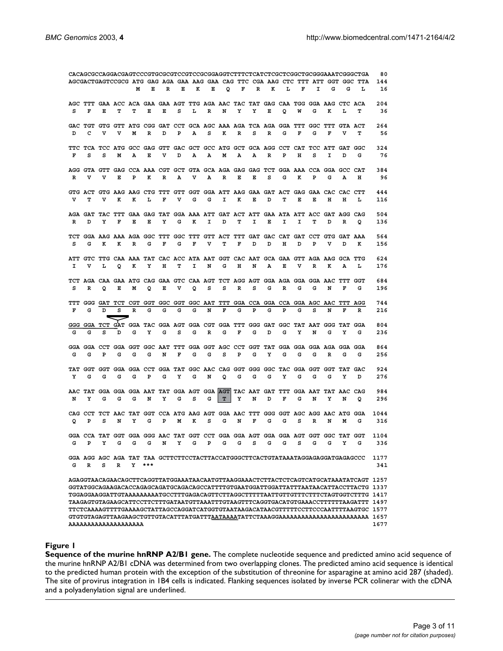<span id="page-2-0"></span>

|   | AGCGACTGAGTCCGCG ATG GAG AGA GAA AAG GAA CAG TTC CGA AAG CTC TTT ATT GGT GGC TTA |   |   |   |     |   |   |   |   |             |   |   |   | 80 |   |   |   |                                                                                      |                                                                                       |             |
|---|----------------------------------------------------------------------------------|---|---|---|-----|---|---|---|---|-------------|---|---|---|----|---|---|---|--------------------------------------------------------------------------------------|---------------------------------------------------------------------------------------|-------------|
|   |                                                                                  |   |   | м | Е   | R | Е | к | Е | $\mathbf Q$ | F | R | к | ъ  | F | I | G | G                                                                                    | L                                                                                     | 144<br>16   |
|   |                                                                                  |   |   |   |     |   |   |   |   |             |   |   |   |    |   |   |   |                                                                                      |                                                                                       |             |
|   |                                                                                  |   |   |   |     |   |   |   |   |             |   |   |   |    |   |   |   | AGC TTT GAA ACC ACA GAA GAA AGT TTG AGA AAC TAC TAT GAG CAA TGG GGA AAG CTC ACA      |                                                                                       | 204         |
| s | F                                                                                | Е | т | т | Е   | Е | s | L | R | N           | Y | Y | Е | Q  | W | G | к | L                                                                                    | т                                                                                     | 36          |
|   |                                                                                  |   |   |   |     |   |   |   |   |             |   |   |   |    |   |   |   |                                                                                      |                                                                                       |             |
| D | с                                                                                | v | v | м | R   | D | Ъ | А | s | к           | R | s | R | G  | F | G | F | GAC TGT GTG GTT ATG CGG GAT CCT GCA AGC AAA AGA TCA AGA GGA TTT GGC TTT GTA ACT<br>v | т                                                                                     | 264<br>56   |
|   |                                                                                  |   |   |   |     |   |   |   |   |             |   |   |   |    |   |   |   |                                                                                      |                                                                                       |             |
|   |                                                                                  |   |   |   |     |   |   |   |   |             |   |   |   |    |   |   |   | TTC TCA TCC ATG GCC GAG GTT GAC GCT GCC ATG GCT GCA AGG CCT CAT TCC ATT GAT GGC      |                                                                                       | 324         |
| F | s                                                                                | s | м | А | Е   | v | D | А | А | м           | А | А | R | P  | н | s | I | D                                                                                    | G                                                                                     | 76          |
|   |                                                                                  |   |   |   |     |   |   |   |   |             |   |   |   |    |   |   |   |                                                                                      |                                                                                       |             |
|   | v                                                                                | v | Е | P |     |   |   | v |   | R           | Е | Е | s | G  | к | P | G | AGG GTA GTT GAG CCA AAA CGT GCT GTA GCA AGA GAG GAG TCT GGA AAA CCA GGA GCC CAT      |                                                                                       | 384<br>96   |
| R |                                                                                  |   |   |   | к   | R | А |   | А |             |   |   |   |    |   |   |   | А                                                                                    | н                                                                                     |             |
|   |                                                                                  |   |   |   |     |   |   |   |   |             |   |   |   |    |   |   |   | GTG ACT GTG AAG AAG CTG TTT GTT GGT GGA ATT AAG GAA GAT ACT GAG GAA CAC CAC CTT      |                                                                                       | 444         |
| v | т                                                                                | v | к | к | L   | F | v | G | G | I.          | к | Е | D | т  | Е | Е | н | н                                                                                    | L                                                                                     | 116         |
|   |                                                                                  |   |   |   |     |   |   |   |   |             |   |   |   |    |   |   |   |                                                                                      |                                                                                       |             |
|   |                                                                                  |   |   |   |     |   |   |   |   |             |   |   |   |    |   |   |   | AGA GAT TAC TTT GAA GAG TAT GGA AAA ATT GAT ACT ATT GAA ATA ATT ACC GAT AGG CAG      |                                                                                       | 504         |
| R | D                                                                                | Y | F | Е | Е   | Y | G | к | I | D           | т | I | Е | I  | I | т | D | R                                                                                    | Q                                                                                     | 136         |
|   |                                                                                  |   |   |   |     |   |   |   |   |             |   |   |   |    |   |   |   | TCT GGA AAG AAA AGA GGC TTT GGC TTT GTT ACT TTT GAT GAC CAT GAT CCT GTG GAT AAA      |                                                                                       | 564         |
| s | G                                                                                | к | к | R | G   | F | G | F | v | т           | F | D | D | н  | D | P | v | D                                                                                    | к                                                                                     | 156         |
|   |                                                                                  |   |   |   |     |   |   |   |   |             |   |   |   |    |   |   |   |                                                                                      |                                                                                       |             |
|   |                                                                                  |   |   |   |     |   |   |   |   |             |   |   |   |    |   |   |   | ATT GTC TTG CAA AAA TAT CAC ACC ATA AAT GGT CAC AAT GCA GAA GTT AGA AAG GCA TTG      |                                                                                       | 624         |
| I | v                                                                                | L | Q | к | Y   | н | т | I | N | G           | н | N | А | Е  | v | R | к | А                                                                                    | L                                                                                     | 176         |
|   |                                                                                  |   |   |   |     |   |   |   |   |             |   |   |   |    |   |   |   | TCT AGA CAA GAA ATG CAG GAA GTC CAA AGT TCT AGG AGT GGA AGA GGA GGA AAC TTT GGT      |                                                                                       | 684         |
| s | R                                                                                | Q | Е | м | Q   | Е | v | Q | s | s           | R | s | G | R  | G | G | N | F                                                                                    | G                                                                                     | 196         |
|   |                                                                                  |   |   |   |     |   |   |   |   |             |   |   |   |    |   |   |   |                                                                                      |                                                                                       |             |
|   |                                                                                  |   |   |   |     |   |   |   |   |             |   |   |   |    |   |   |   | TTT GGG GAT TCT CGT GGT GGC GGT GGC AAT TTT GGA CCA GGA CCA GGA AGC AAC TTT AGG      |                                                                                       | 744         |
| F | G                                                                                | D | s | R | G   | G | G | G | N | F           | G | Р | G | P  | G | s | N | F                                                                                    | R                                                                                     | 216         |
|   |                                                                                  |   |   |   |     |   |   |   |   |             |   |   |   |    |   |   |   |                                                                                      |                                                                                       | 804         |
| G | G                                                                                | s | D | G | Y   | G | s | G | R | G           | F | G | D | G  | Y | N | G | GGG GGA TCT GAT GGA TAC GGA AGT GGA CGT GGA TTT GGG GAT GGC TAT AAT GGG TAT GGA<br>Y | G                                                                                     | 236         |
|   |                                                                                  |   |   |   |     |   |   |   |   |             |   |   |   |    |   |   |   |                                                                                      |                                                                                       |             |
|   |                                                                                  |   |   |   |     |   |   |   |   |             |   |   |   |    |   |   |   | GGA GGA CCT GGA GGT GGC AAT TTT GGA GGT AGC CCT GGT TAT GGA GGA GGA AGA GGA GGA      |                                                                                       | 864         |
| G | G                                                                                | Р | G | G | G   | N | F | G | G | s           | Р | G | Υ | G  | G | G | R | G                                                                                    | G                                                                                     | 256         |
|   |                                                                                  |   |   |   |     |   |   |   |   |             |   |   |   |    |   |   |   |                                                                                      |                                                                                       |             |
| Y | G                                                                                | G | G | G | P   | G | Y | G | N | Q           | G | G | G | Y  | G | G | G | TAT GGT GGT GGA GGA CCT GGA TAT GGC AAC CAG GGT GGG GGC TAC GGA GGT GGT TAT GAC<br>Y | D                                                                                     | 924<br>276  |
|   |                                                                                  |   |   |   |     |   |   |   |   |             |   |   |   |    |   |   |   |                                                                                      |                                                                                       |             |
|   |                                                                                  |   |   |   |     |   |   |   |   |             |   |   |   |    |   |   |   | AAC TAT GGA GGA GGA AAT TAT GGA AGT GGA AGT TAC AAT GAT TTT GGA AAT TAT AAC CAG      |                                                                                       | 984         |
| N | Y                                                                                | G | G | G | N   | Y | G | s | G | T.          | Y | N | D | F  | G | N | Υ | N                                                                                    | Q                                                                                     | 296         |
|   |                                                                                  |   |   |   |     |   |   |   |   |             |   |   |   |    |   |   |   |                                                                                      |                                                                                       |             |
| Q | Р                                                                                | s | N | Υ | G   | P | м | к | s | G           | N | F | G | G  | s | R | N | CAG CCT TCT AAC TAT GGT CCA ATG AAG AGT GGA AAC TTT GGG GGT AGC AGG AAC ATG GGA<br>м | G                                                                                     | 1044<br>316 |
|   |                                                                                  |   |   |   |     |   |   |   |   |             |   |   |   |    |   |   |   |                                                                                      |                                                                                       |             |
|   |                                                                                  |   |   |   |     |   |   |   |   |             |   |   |   |    |   |   |   | GGA CCA TAT GGT GGA GGG AAC TAT GGT CCT GGA GGA AGT GGA GGA AGT GGT GGC TAT GGT      |                                                                                       | 1104        |
| G | Р                                                                                | Y | G | G | G   | N | Y | G | Р | G           | G | s | G | G  | s | G | G | Y                                                                                    | G                                                                                     | 336         |
|   |                                                                                  |   |   |   |     |   |   |   |   |             |   |   |   |    |   |   |   |                                                                                      |                                                                                       |             |
|   |                                                                                  |   |   |   |     |   |   |   |   |             |   |   |   |    |   |   |   | GGA AGG AGC AGA TAT TAA GCTTCTTCCTACTTACCATGGGCTTCACTGTATAAATAGGAGAGGATGAGAGCCC      |                                                                                       | 1177        |
| G | R                                                                                | s | R | Y | *** |   |   |   |   |             |   |   |   |    |   |   |   |                                                                                      |                                                                                       | 341         |
|   |                                                                                  |   |   |   |     |   |   |   |   |             |   |   |   |    |   |   |   |                                                                                      | AGAGGTAACAGAACAGCTTCAGGTTATGGAAATAACAATGTTAAGGAAACTCTTACTCTCAGTCATGCATAAATATCAGT 1257 |             |
|   |                                                                                  |   |   |   |     |   |   |   |   |             |   |   |   |    |   |   |   |                                                                                      | GGTATGGCAGAAGACACCAGAGCAGATGCAGACAGCCATTTTGTGAATGGATTGGATTATTTAATAACATTACCTTACTG 1337 |             |
|   |                                                                                  |   |   |   |     |   |   |   |   |             |   |   |   |    |   |   |   |                                                                                      |                                                                                       |             |
|   |                                                                                  |   |   |   |     |   |   |   |   |             |   |   |   |    |   |   |   |                                                                                      | TAAGAGTGTAGAAGCATTCCTTCTTTGATAATGTTAAATTTGTAAGTTTCAGGTGACATGTGAAACCTTTTTTAAGATTT 1497 |             |
|   |                                                                                  |   |   |   |     |   |   |   |   |             |   |   |   |    |   |   |   |                                                                                      |                                                                                       |             |
|   | AAAAAAAAAAAAAAAAAAA                                                              |   |   |   |     |   |   |   |   |             |   |   |   |    |   |   |   |                                                                                      |                                                                                       | 1677        |
|   |                                                                                  |   |   |   |     |   |   |   |   |             |   |   |   |    |   |   |   |                                                                                      |                                                                                       |             |

#### **Figure 1**

**Sequence of the murine hnRNP A2/B1 gene.** The complete nucleotide sequence and predicted amino acid sequence of the murine hnRNP A2/B1 cDNA was determined from two overlapping clones. The predicted amino acid sequence is identical to the predicted human protein with the exception of the substitution of threonine for asparagine at amino acid 287 (shaded). The site of provirus integration in 1B4 cells is indicated. Flanking sequences isolated by inverse PCR colinerar with the cDNA and a polyadenylation signal are underlined.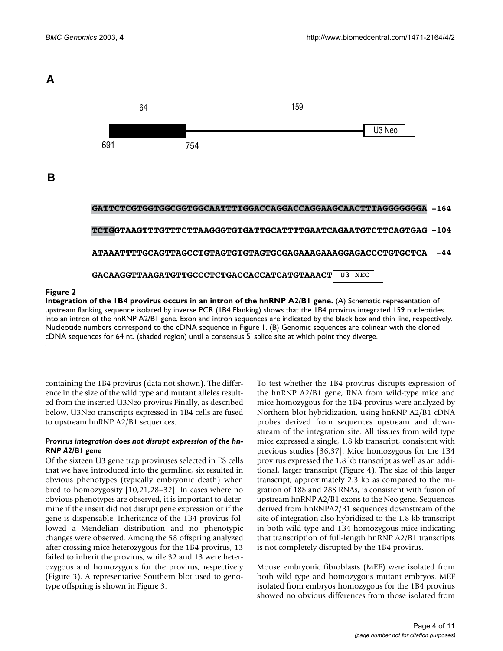# <span id="page-3-0"></span>**A**

**B**



## **Figure 2**

**Integration of the IB4 provirus occurs in an intron of the hnRNP A2/B1 gene.** (A) Schematic representation of upstream flanking sequence isolated by inverse PCR (1B4 Flanking) shows that the 1B4 provirus integrated 159 nucleotides into an intron of the hnRNP A2/B1 gene. Exon and intron sequences are indicated by the black box and thin line, respectively. Nucleotide numbers correspond to the cDNA sequence in Figure [1](#page-2-0). (B) Genomic sequences are colinear with the cloned cDNA sequences for 64 nt. (shaded region) until a consensus 5' splice site at which point they diverge.

containing the 1B4 provirus (data not shown). The difference in the size of the wild type and mutant alleles resulted from the inserted U3Neo provirus Finally, as described below, U3Neo transcripts expressed in 1B4 cells are fused to upstream hnRNP A2/B1 sequences.

## *Provirus integration does not disrupt expression of the hn-RNP A2/B1 gene*

Of the sixteen U3 gene trap proviruses selected in ES cells that we have introduced into the germline, six resulted in obvious phenotypes (typically embryonic death) when bred to homozygosity [10,21,28–32]. In cases where no obvious phenotypes are observed, it is important to determine if the insert did not disrupt gene expression or if the gene is dispensable. Inheritance of the 1B4 provirus followed a Mendelian distribution and no phenotypic changes were observed. Among the 58 offspring analyzed after crossing mice heterozygous for the 1B4 provirus, 13 failed to inherit the provirus, while 32 and 13 were heterozygous and homozygous for the provirus, respectively (Figure [3\)](#page-4-0). A representative Southern blot used to genotype offspring is shown in Figure [3.](#page-4-0)

To test whether the 1B4 provirus disrupts expression of the hnRNP A2/B1 gene, RNA from wild-type mice and mice homozygous for the 1B4 provirus were analyzed by Northern blot hybridization, using hnRNP A2/B1 cDNA probes derived from sequences upstream and downstream of the integration site. All tissues from wild type mice expressed a single, 1.8 kb transcript, consistent with previous studies [36[,37](#page-9-2)]. Mice homozygous for the 1B4 provirus expressed the 1.8 kb transcript as well as an additional, larger transcript (Figure [4](#page-5-0)). The size of this larger transcript, approximately 2.3 kb as compared to the migration of 18S and 28S RNAs, is consistent with fusion of upstream hnRNP A2/B1 exons to the Neo gene. Sequences derived from hnRNPA2/B1 sequences downstream of the site of integration also hybridized to the 1.8 kb transcript in both wild type and 1B4 homozygous mice indicating that transcription of full-length hnRNP A2/B1 transcripts is not completely disrupted by the 1B4 provirus.

Mouse embryonic fibroblasts (MEF) were isolated from both wild type and homozygous mutant embryos. MEF isolated from embryos homozygous for the 1B4 provirus showed no obvious differences from those isolated from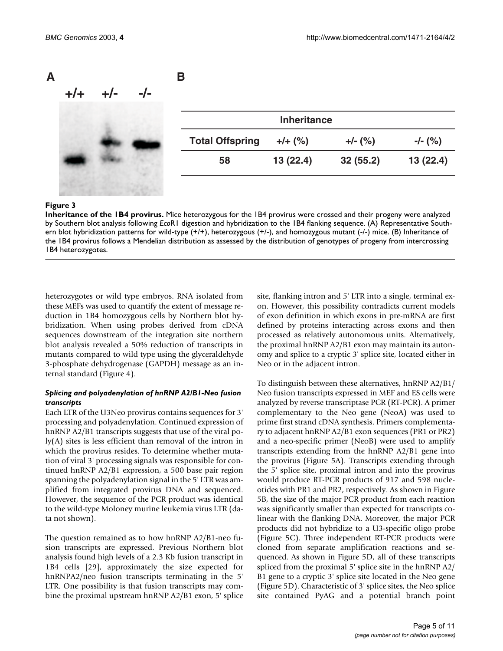<span id="page-4-0"></span>

#### **Figure 3**

**Inheritance of the 1B4 provirus.** Mice heterozygous for the 1B4 provirus were crossed and their progeny were analyzed by Southern blot analysis following *Eco*R1 digestion and hybridization to the 1B4 flanking sequence. (A) Representative Southern blot hybridization patterns for wild-type (+/+), heterozygous (+/-), and homozygous mutant (-/-) mice. (B) Inheritance of the 1B4 provirus follows a Mendelian distribution as assessed by the distribution of genotypes of progeny from intercrossing 1B4 heterozygotes.

heterozygotes or wild type embryos. RNA isolated from these MEFs was used to quantify the extent of message reduction in 1B4 homozygous cells by Northern blot hybridization. When using probes derived from cDNA sequences downstream of the integration site northern blot analysis revealed a 50% reduction of transcripts in mutants compared to wild type using the glyceraldehyde 3-phosphate dehydrogenase (GAPDH) message as an internal standard (Figure [4](#page-5-0)).

## *Splicing and polyadenylation of hnRNP A2/B1-Neo fusion transcripts*

Each LTR of the U3Neo provirus contains sequences for 3' processing and polyadenylation. Continued expression of hnRNP A2/B1 transcripts suggests that use of the viral poly(A) sites is less efficient than removal of the intron in which the provirus resides. To determine whether mutation of viral 3' processing signals was responsible for continued hnRNP A2/B1 expression, a 500 base pair region spanning the polyadenylation signal in the 5' LTR was amplified from integrated provirus DNA and sequenced. However, the sequence of the PCR product was identical to the wild-type Moloney murine leukemia virus LTR (data not shown).

The question remained as to how hnRNP A2/B1-neo fusion transcripts are expressed. Previous Northern blot analysis found high levels of a 2.3 Kb fusion transcript in 1B4 cells [29], approximately the size expected for hnRNPA2/neo fusion transcripts terminating in the 5' LTR. One possibility is that fusion transcripts may combine the proximal upstream hnRNP A2/B1 exon, 5' splice site, flanking intron and 5' LTR into a single, terminal exon. However, this possibility contradicts current models of exon definition in which exons in pre-mRNA are first defined by proteins interacting across exons and then processed as relatively autonomous units. Alternatively, the proximal hnRNP A2/B1 exon may maintain its autonomy and splice to a cryptic 3' splice site, located either in Neo or in the adjacent intron.

To distinguish between these alternatives, hnRNP A2/B1/ Neo fusion transcripts expressed in MEF and ES cells were analyzed by reverse transcriptase PCR (RT-PCR). A primer complementary to the Neo gene (NeoA) was used to prime first strand cDNA synthesis. Primers complementary to adjacent hnRNP A2/B1 exon sequences (PR1 or PR2) and a neo-specific primer (NeoB) were used to amplify transcripts extending from the hnRNP A2/B1 gene into the provirus (Figure 5A). Transcripts extending through the 5' splice site, proximal intron and into the provirus would produce RT-PCR products of 917 and 598 nucleotides with PR1 and PR2, respectively. As shown in Figure 5B, the size of the major PCR product from each reaction was significantly smaller than expected for transcripts colinear with the flanking DNA. Moreover, the major PCR products did not hybridize to a U3-specific oligo probe (Figure 5C). Three independent RT-PCR products were cloned from separate amplification reactions and sequenced. As shown in Figure 5D, all of these transcripts spliced from the proximal 5' splice site in the hnRNP A2/ B1 gene to a cryptic 3' splice site located in the Neo gene (Figure 5D). Characteristic of 3' splice sites, the Neo splice site contained PyAG and a potential branch point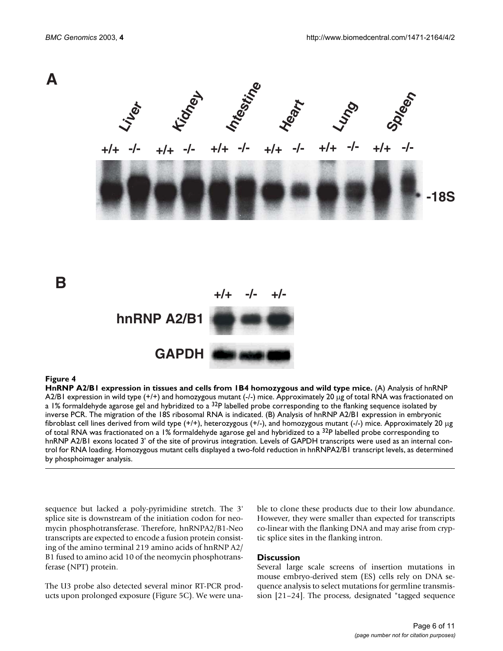<span id="page-5-0"></span>

#### **Figure 4**

**HnRNP A2/B1 expression in tissues and cells from 1B4 homozygous and wild type mice.** (A) Analysis of hnRNP A2/B1 expression in wild type  $(+/+)$  and homozygous mutant  $(-/-)$  mice. Approximately 20  $\mu$ g of total RNA was fractionated on a 1% formaldehyde agarose gel and hybridized to a  $32P$  labelled probe corresponding to the flanking sequence isolated by inverse PCR. The migration of the 18S ribosomal RNA is indicated. (B) Analysis of hnRNP A2/B1 expression in embryonic fibroblast cell lines derived from wild type (+/+), heterozygous (+/-), and homozygous mutant (-/-) mice. Approximately 20 µg of total RNA was fractionated on a 1% formaldehyde agarose gel and hybridized to a  $32P$  labelled probe corresponding to hnRNP A2/B1 exons located 3' of the site of provirus integration. Levels of GAPDH transcripts were used as an internal control for RNA loading. Homozygous mutant cells displayed a two-fold reduction in hnRNPA2/B1 transcript levels, as determined by phosphoimager analysis.

sequence but lacked a poly-pyrimidine stretch. The 3' splice site is downstream of the initiation codon for neomycin phosphotransferase. Therefore, hnRNPA2/B1-Neo transcripts are expected to encode a fusion protein consisting of the amino terminal 219 amino acids of hnRNP A2/ B1 fused to amino acid 10 of the neomycin phosphotransferase (NPT) protein.

The U3 probe also detected several minor RT-PCR products upon prolonged exposure (Figure 5C). We were unable to clone these products due to their low abundance. However, they were smaller than expected for transcripts co-linear with the flanking DNA and may arise from cryptic splice sites in the flanking intron.

#### **Discussion**

Several large scale screens of insertion mutations in mouse embryo-derived stem (ES) cells rely on DNA sequence analysis to select mutations for germline transmission [21–24]. The process, designated "tagged sequence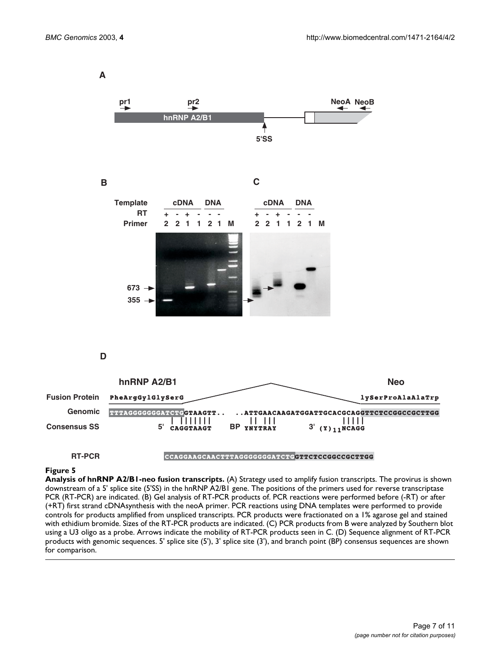**A**



#### **Figure 5**

**Analysis of hnRNP A2/B1-neo fusion transcripts.** (A) Strategy used to amplify fusion transcripts. The provirus is shown downstream of a 5' splice site (5'SS) in the hnRNP A2/B1 gene. The positions of the primers used for reverse transcriptase PCR (RT-PCR) are indicated. (B) Gel analysis of RT-PCR products of. PCR reactions were performed before (-RT) or after (+RT) first strand cDNAsynthesis with the neoA primer. PCR reactions using DNA templates were performed to provide controls for products amplified from unspliced transcripts. PCR products were fractionated on a 1% agarose gel and stained with ethidium bromide. Sizes of the RT-PCR products are indicated. (C) PCR products from B were analyzed by Southern blot using a U3 oligo as a probe. Arrows indicate the mobility of RT-PCR products seen in C. (D) Sequence alignment of RT-PCR products with genomic sequences. 5' splice site (5'), 3' splice site (3'), and branch point (BP) consensus sequences are shown for comparison.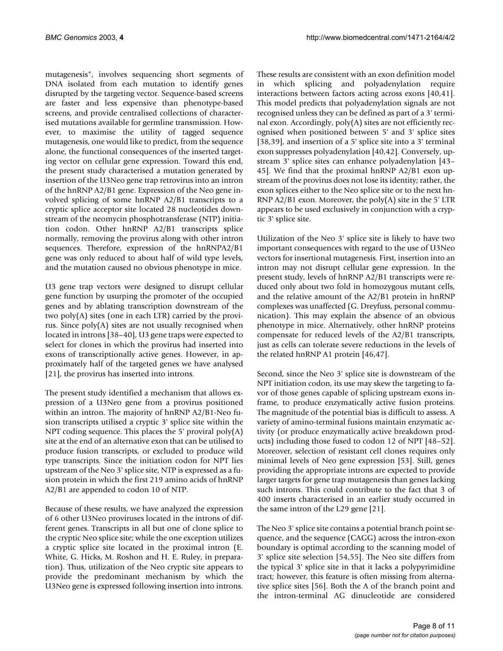mutagenesis", involves sequencing short segments of DNA isolated from each mutation to identify genes disrupted by the targeting vector. Sequence-based screens are faster and less expensive than phenotype-based screens, and provide centralised collections of characterised mutations available for germline transmission. However, to maximise the utility of tagged sequence mutagenesis, one would like to predict, from the sequence alone, the functional consequences of the inserted targeting vector on cellular gene expression. Toward this end, the present study characterised a mutation generated by insertion of the U3Neo gene trap retrovirus into an intron of the hnRNP A2/B1 gene. Expression of the Neo gene involved splicing of some hnRNP A2/B1 transcripts to a cryptic splice acceptor site located 28 nucleotides downstream of the neomycin phosphotransferase (NTP) initiation codon. Other hnRNP A2/B1 transcripts splice normally, removing the provirus along with other intron sequences. Therefore, expression of the hnRNPA2/B1 gene was only reduced to about half of wild type levels, and the mutation caused no obvious phenotype in mice.

U3 gene trap vectors were designed to disrupt cellular gene function by usurping the promoter of the occupied genes and by ablating transcription downstream of the two poly(A) sites (one in each LTR) carried by the provirus. Since poly(A) sites are not usually recognised when located in introns [38–40], U3 gene traps were expected to select for clones in which the provirus had inserted into exons of transcriptionally active genes. However, in approximately half of the targeted genes we have analysed [21], the provirus has inserted into introns.

The present study identified a mechanism that allows expression of a U3Neo gene from a provirus positioned within an intron. The majority of hnRNP A2/B1-Neo fusion transcripts utilised a cryptic 3' splice site within the NPT coding sequence. This places the 5' proviral  $poly(A)$ site at the end of an alternative exon that can be utilised to produce fusion transcripts, or excluded to produce wild type transcripts. Since the initiation codon for NPT lies upstream of the Neo 3' splice site, NTP is expressed as a fusion protein in which the first 219 amino acids of hnRNP A2/B1 are appended to codon 10 of NTP.

Because of these results, we have analyzed the expression of 6 other U3Neo proviruses located in the introns of different genes. Transcripts in all but one of clone splice to the cryptic Neo splice site; while the one exception utilizes a cryptic splice site located in the proximal intron (E. White, G. Hicks, M. Roshon and H. E. Ruley, in preparation). Thus, utilization of the Neo cryptic site appears to provide the predominant mechanism by which the U3Neo gene is expressed following insertion into introns.

These results are consistent with an exon definition model in which splicing and polyadenylation require interactions between factors acting across exons [40,41]. This model predicts that polyadenylation signals are not recognised unless they can be defined as part of a 3' terminal exon. Accordingly, poly(A) sites are not efficiently recognised when positioned between 5' and 3' splice sites [38,39], and insertion of a 5' splice site into a 3' terminal exon suppresses polyadenylation [40,42]. Conversely, upstream 3' splice sites can enhance polyadenylation [43– 45]. We find that the proximal hnRNP A2/B1 exon upstream of the provirus does not lose its identity; rather, the exon splices either to the Neo splice site or to the next hn-RNP A2/B1 exon. Moreover, the poly(A) site in the 5' LTR appears to be used exclusively in conjunction with a cryptic 3' splice site.

Utilization of the Neo 3' splice site is likely to have two important consequences with regard to the use of U3Neo vectors for insertional mutagenesis. First, insertion into an intron may not disrupt cellular gene expression. In the present study, levels of hnRNP A2/B1 transcripts were reduced only about two fold in homozygous mutant cells, and the relative amount of the A2/B1 protein in hnRNP complexes was unaffected (G. Dreyfuss, personal communication). This may explain the absence of an obvious phenotype in mice. Alternatively, other hnRNP proteins compensate for reduced levels of the A2/B1 transcripts, just as cells can tolerate severe reductions in the levels of the related hnRNP A1 protein [46,47].

Second, since the Neo 3' splice site is downstream of the NPT initiation codon, its use may skew the targeting to favor of those genes capable of splicing upstream exons inframe, to produce enzymatically active fusion proteins. The magnitude of the potential bias is difficult to assess. A variety of amino-terminal fusions maintain enzymatic activity (or produce enzymatically active breakdown products) including those fused to codon 12 of NPT [48–52]. Moreover, selection of resistant cell clones requires only minimal levels of Neo gene expression [53]. Still, genes providing the appropriate introns are expected to provide larger targets for gene trap mutagenesis than genes lacking such introns. This could contribute to the fact that 3 of 400 inserts characterised in an earlier study occurred in the same intron of the L29 gene [21].

The Neo 3' splice site contains a potential branch point sequence, and the sequence (CAGG) across the intron-exon boundary is optimal according to the scanning model of 3' splice site selection [54,55]. The Neo site differs from the typical 3' splice site in that it lacks a polypyrimidine tract; however, this feature is often missing from alternative splice sites [56]. Both the A of the branch point and the intron-terminal AG dinucleotide are considered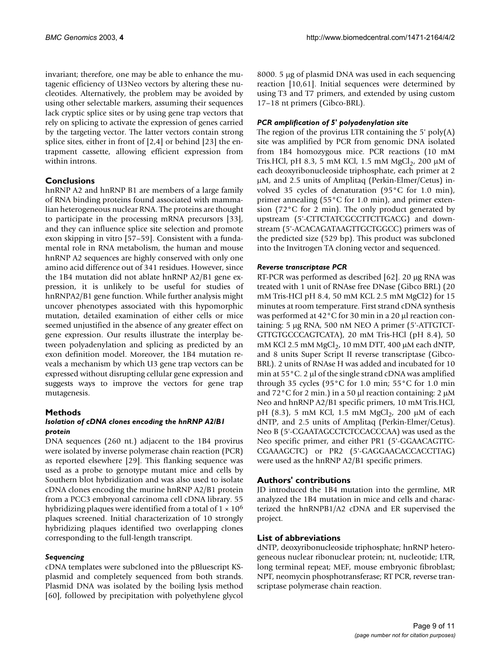invariant; therefore, one may be able to enhance the mutagenic efficiency of U3Neo vectors by altering these nucleotides. Alternatively, the problem may be avoided by using other selectable markers, assuming their sequences lack cryptic splice sites or by using gene trap vectors that rely on splicing to activate the expression of genes carried by the targeting vector. The latter vectors contain strong splice sites, either in front of [2,4] or behind [23] the entrapment cassette, allowing efficient expression from within introns.

# **Conclusions**

hnRNP A2 and hnRNP B1 are members of a large family of RNA binding proteins found associated with mammalian heterogeneous nuclear RNA. The proteins are thought to participate in the processing mRNA precursors [33], and they can influence splice site selection and promote exon skipping in vitro [57–59]. Consistent with a fundamental role in RNA metabolism, the human and mouse hnRNP A2 sequences are highly conserved with only one amino acid difference out of 341 residues. However, since the 1B4 mutation did not ablate hnRNP A2/B1 gene expression, it is unlikely to be useful for studies of hnRNPA2/B1 gene function. While further analysis might uncover phenotypes associated with this hypomorphic mutation, detailed examination of either cells or mice seemed unjustified in the absence of any greater effect on gene expression. Our results illustrate the interplay between polyadenylation and splicing as predicted by an exon definition model. Moreover, the 1B4 mutation reveals a mechanism by which U3 gene trap vectors can be expressed without disrupting cellular gene expression and suggests ways to improve the vectors for gene trap mutagenesis.

# **Methods**

# *Isolation of cDNA clones encoding the hnRNP A2/B1 protein*

DNA sequences (260 nt.) adjacent to the 1B4 provirus were isolated by inverse polymerase chain reaction (PCR) as reported elsewhere [29]. This flanking sequence was used as a probe to genotype mutant mice and cells by Southern blot hybridization and was also used to isolate cDNA clones encoding the murine hnRNP A2/B1 protein from a PCC3 embryonal carcinoma cell cDNA library. 55 hybridizing plaques were identified from a total of  $1 \times 10^6$ plaques screened. Initial characterization of 10 strongly hybridizing plaques identified two overlapping clones corresponding to the full-length transcript.

# *Sequencing*

cDNA templates were subcloned into the pBluescript KSplasmid and completely sequenced from both strands. Plasmid DNA was isolated by the boiling lysis method [60], followed by precipitation with polyethylene glycol

8000. 5 µg of plasmid DNA was used in each sequencing reaction [10,61]. Initial sequences were determined by using T3 and T7 primers, and extended by using custom 17–18 nt primers (Gibco-BRL).

# *PCR amplification of 5' polyadenylation site*

The region of the provirus LTR containing the 5'  $poly(A)$ site was amplified by PCR from genomic DNA isolated from 1B4 homozygous mice. PCR reactions (10 mM Tris.HCl, pH 8.3, 5 mM KCl, 1.5 mM MgCl<sub>2</sub>, 200  $\mu$ M of each deoxyribonucleoside triphosphate, each primer at 2 µM, and 2.5 units of Amplitaq (Perkin-Elmer/Cetus) involved 35 cycles of denaturation (95°C for 1.0 min), primer annealing (55°C for 1.0 min), and primer extension (72°C for 2 min). The only product generated by upstream (5'-CTTCTATCGCCTTCTTGACG) and downstream (5'-ACACAGATAAGTTGCTGGCC) primers was of the predicted size (529 bp). This product was subcloned into the Invitrogen TA cloning vector and sequenced.

# *Reverse transcriptase PCR*

RT-PCR was performed as described [62]. 20 µg RNA was treated with 1 unit of RNAse free DNase (Gibco BRL) (20 mM Tris-HCl pH 8.4, 50 mM KCL 2.5 mM MgCl2) for 15 minutes at room temperature. First strand cDNA synthesis was performed at 42°C for 30 min in a 20 µl reaction containing: 5 µg RNA, 500 nM NEO A primer (5'-ATTGTCT-GTTGTGCCCAGTCATA), 20 mM Tris-HCl (pH 8.4), 50 mM KCl 2.5 mM  $MgCl<sub>2</sub>$ , 10 mM DTT, 400 µM each dNTP, and 8 units Super Script II reverse transcriptase (Gibco-BRL). 2 units of RNAse H was added and incubated for 10 min at  $55^{\circ}$ C. 2 µl of the single strand cDNA was amplified through 35 cycles (95°C for 1.0 min; 55°C for 1.0 min and  $72^{\circ}$ C for 2 min.) in a 50 µl reaction containing: 2 µM Neo and hnRNP A2/B1 specific primers, 10 mM Tris.HCl, pH (8.3), 5 mM KCl, 1.5 mM MgCl<sub>2</sub>, 200 µM of each dNTP, and 2.5 units of Amplitaq (Perkin-Elmer/Cetus). Neo B (5'-CGAATAGCCTCTCCACCCAA) was used as the Neo specific primer, and either PR1 (5'-GGAACAGTTC-CGAAAGCTC) or PR2 (5'-GAGGAACACCACCTTAG) were used as the hnRNP A2/B1 specific primers.

# **Authors' contributions**

JD introduced the 1B4 mutation into the germline, MR analyzed the 1B4 mutation in mice and cells and characterized the hnRNPB1/A2 cDNA and ER supervised the project.

# **List of abbreviations**

dNTP, deoxyribonucleoside triphosphate; hnRNP heterogeneous nuclear ribonuclear protein; nt, nucleotide; LTR, long terminal repeat; MEF, mouse embryonic fibroblast; NPT, neomycin phosphotransferase; RT PCR, reverse transcriptase polymerase chain reaction.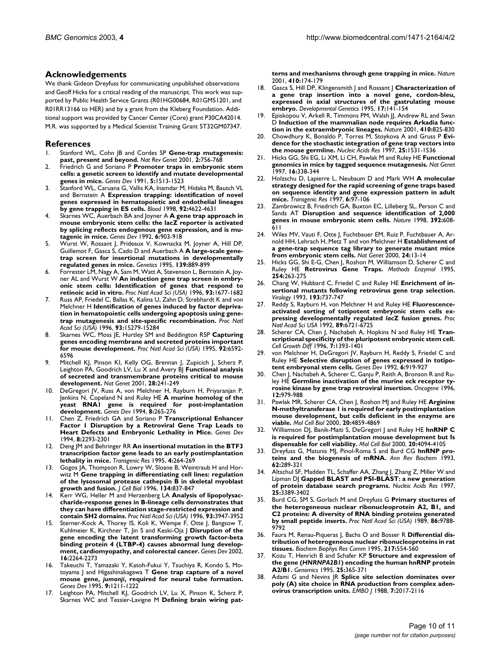# **Acknowledgements**

We thank Gideon Dreyfuss for communicating unpublished observations and Geoff Hicks for a critical reading of the manuscript. This work was supported by Public Health Service Grants (R01HG00684, R01GM51201, and R01RR13166 to HER) and by a grant from the Kleberg Foundation. Additional support was provided by Cancer Center (Core) grant P30CA42014. M.R. was supported by a Medical Scientist Training Grant 5T32GM07347.

## **References**

- 1. Stanford WL, Cohn JB and Cordes SP **[Gene-trap mutagenesis:](http://www.ncbi.nlm.nih.gov/entrez/query.fcgi?cmd=Retrieve&db=PubMed&dopt=Abstract&list_uids=11584292) [past, present and beyond.](http://www.ncbi.nlm.nih.gov/entrez/query.fcgi?cmd=Retrieve&db=PubMed&dopt=Abstract&list_uids=11584292)** *Nat Rev Genet* 2001, **2:**756-768
- 2. Friedrich G and Soriano P **[Promoter traps in embryonic stem](http://www.ncbi.nlm.nih.gov/entrez/query.fcgi?cmd=Retrieve&db=PubMed&dopt=Abstract&list_uids=1653172) [cells: a genetic screen to identify and mutate developmental](http://www.ncbi.nlm.nih.gov/entrez/query.fcgi?cmd=Retrieve&db=PubMed&dopt=Abstract&list_uids=1653172) [genes in mice.](http://www.ncbi.nlm.nih.gov/entrez/query.fcgi?cmd=Retrieve&db=PubMed&dopt=Abstract&list_uids=1653172)** *Genes Dev* 1991, **5:**1513-1523
- 3. Stanford WL, Caruana G, Vallis KA, Inamdar M, Hidaka M, Bautch VL and Bernstein A **[Expression trapping: identification of novel](http://www.ncbi.nlm.nih.gov/entrez/query.fcgi?cmd=Retrieve&db=PubMed&dopt=Abstract&list_uids=9845528) [genes expressed in hematopoietic and endothelial lineages](http://www.ncbi.nlm.nih.gov/entrez/query.fcgi?cmd=Retrieve&db=PubMed&dopt=Abstract&list_uids=9845528) [by gene trapping in ES cells.](http://www.ncbi.nlm.nih.gov/entrez/query.fcgi?cmd=Retrieve&db=PubMed&dopt=Abstract&list_uids=9845528)** *Blood* 1998, **92:**4622-4631
- 4. Skarnes WC, Auerbach BA and Joyner A **[A gene trap approach in](http://www.ncbi.nlm.nih.gov/entrez/query.fcgi?cmd=Retrieve&db=PubMed&dopt=Abstract&list_uids=1592261) [mouse embryonic stem cells: the lacZ reporter is activated](http://www.ncbi.nlm.nih.gov/entrez/query.fcgi?cmd=Retrieve&db=PubMed&dopt=Abstract&list_uids=1592261) by splicing reflects endogenous gene expression, and is mu[tagenic in mice.](http://www.ncbi.nlm.nih.gov/entrez/query.fcgi?cmd=Retrieve&db=PubMed&dopt=Abstract&list_uids=1592261)** *Genes Dev* 1992, **6:**903-918
- 5. Wurst W, Rossant J, Prideaux V, Kownacka M, Joyner A, Hill DP, Guillemot F, Gasca S, Cado D and Auerbach A **[A large-scale gene](http://www.ncbi.nlm.nih.gov/entrez/query.fcgi?cmd=Retrieve&db=PubMed&dopt=Abstract&list_uids=7713439)[trap screen for insertional mutations in developmentally](http://www.ncbi.nlm.nih.gov/entrez/query.fcgi?cmd=Retrieve&db=PubMed&dopt=Abstract&list_uids=7713439) [regulated genes in mice.](http://www.ncbi.nlm.nih.gov/entrez/query.fcgi?cmd=Retrieve&db=PubMed&dopt=Abstract&list_uids=7713439)** *Genetics* 1995, **139:**889-899
- 6. Forrester LM, Nagy A, Sam M, Watt A, Stevenson L, Bernstein A, Joyner AL and Wurst W **[An induction gene trap screen in embry](http://www.ncbi.nlm.nih.gov/entrez/query.fcgi?cmd=Retrieve&db=PubMed&dopt=Abstract&list_uids=40001)[onic stem cells: Identification of genes that respond to](http://www.ncbi.nlm.nih.gov/entrez/query.fcgi?cmd=Retrieve&db=PubMed&dopt=Abstract&list_uids=40001) [retinoic acid in vitro.](http://www.ncbi.nlm.nih.gov/entrez/query.fcgi?cmd=Retrieve&db=PubMed&dopt=Abstract&list_uids=40001)** *Proc Natl Acad Sci (USA)* 1996, **93:**1677-1682
- 7. Russ AP, Friedel C, Ballas K, Kalina U, Zahn D, Strebhardt K and von Melchner H **[Identification of genes induced by factor depriva](http://www.ncbi.nlm.nih.gov/entrez/query.fcgi?cmd=Retrieve&db=PubMed&dopt=Abstract&list_uids=26395)[tion in hematopoietic cells undergoing apoptosis using gene](http://www.ncbi.nlm.nih.gov/entrez/query.fcgi?cmd=Retrieve&db=PubMed&dopt=Abstract&list_uids=26395)[trap mutagenesis and site-specific recombination.](http://www.ncbi.nlm.nih.gov/entrez/query.fcgi?cmd=Retrieve&db=PubMed&dopt=Abstract&list_uids=26395)** *Proc Natl Acad Sci (USA)* 1996, **93:**15279-15284
- 8. Skarnes WC, Moss JE, Hurtley SM and Beddington RSP **[Capturing](http://www.ncbi.nlm.nih.gov/entrez/query.fcgi?cmd=Retrieve&db=PubMed&dopt=Abstract&list_uids=41564) [genes encoding membrane and secreted proteins important](http://www.ncbi.nlm.nih.gov/entrez/query.fcgi?cmd=Retrieve&db=PubMed&dopt=Abstract&list_uids=41564) [for mouse development.](http://www.ncbi.nlm.nih.gov/entrez/query.fcgi?cmd=Retrieve&db=PubMed&dopt=Abstract&list_uids=41564)** *Proc Natl Acad Sci (USA)* 1995, **92:**6592- 6596
- 9. Mitchell KJ, Pinson KI, Kelly OG, Brennan J, Zupicich J, Scherz P, Leighton PA, Goodrich LV, Lu X and Avery BJ **[Functional analysis](http://www.ncbi.nlm.nih.gov/entrez/query.fcgi?cmd=Retrieve&db=PubMed&dopt=Abstract&list_uids=11431694) [of secreted and transmembrane proteins critical to mouse](http://www.ncbi.nlm.nih.gov/entrez/query.fcgi?cmd=Retrieve&db=PubMed&dopt=Abstract&list_uids=11431694) [development.](http://www.ncbi.nlm.nih.gov/entrez/query.fcgi?cmd=Retrieve&db=PubMed&dopt=Abstract&list_uids=11431694)** *Nat Genet* 2001, **28:**241-249
- 10. DeGregori JV, Russ A, von Melchner H, Rayburn H, Priyaranjan P, Jenkins N, Copeland N and Ruley HE **[A murine homolog of the](http://www.ncbi.nlm.nih.gov/entrez/query.fcgi?cmd=Retrieve&db=PubMed&dopt=Abstract&list_uids=8314081) [yeast RNA1 gene is required for post-implantation](http://www.ncbi.nlm.nih.gov/entrez/query.fcgi?cmd=Retrieve&db=PubMed&dopt=Abstract&list_uids=8314081) [development.](http://www.ncbi.nlm.nih.gov/entrez/query.fcgi?cmd=Retrieve&db=PubMed&dopt=Abstract&list_uids=8314081)** *Genes Dev* 1994, **8:**265-276
- 11. Chen Z, Friedrich GA and Soriano P **[Transcriptional Enhancer](http://www.ncbi.nlm.nih.gov/entrez/query.fcgi?cmd=Retrieve&db=PubMed&dopt=Abstract&list_uids=7958896) [Factor 1 Disruption by a Retroviral Gene Trap Leads to](http://www.ncbi.nlm.nih.gov/entrez/query.fcgi?cmd=Retrieve&db=PubMed&dopt=Abstract&list_uids=7958896) [Heart Defects and Embryonic Lethality in Mice.](http://www.ncbi.nlm.nih.gov/entrez/query.fcgi?cmd=Retrieve&db=PubMed&dopt=Abstract&list_uids=7958896)** *Genes Dev* 1994, **8:**2293-2301
- 12. Deng JM and Behringer RR **[An insertional mutation in the BTF3](http://www.ncbi.nlm.nih.gov/entrez/query.fcgi?cmd=Retrieve&db=PubMed&dopt=Abstract&list_uids=7655515) [transcription factor gene leads to an early postimplantation](http://www.ncbi.nlm.nih.gov/entrez/query.fcgi?cmd=Retrieve&db=PubMed&dopt=Abstract&list_uids=7655515) [lethality in mice.](http://www.ncbi.nlm.nih.gov/entrez/query.fcgi?cmd=Retrieve&db=PubMed&dopt=Abstract&list_uids=7655515)** *Transgenic Res* 1995, **4:**264-269
- 13. Gogos JA, Thompson R, Lowry W, Sloane B, Weintraub H and Horwitz M **[Gene trapping in differentiating cell lines: regulation](http://www.ncbi.nlm.nih.gov/entrez/query.fcgi?cmd=Retrieve&db=PubMed&dopt=Abstract&list_uids=8769410) [of the lysosomal protease cathepsin B in skeletal myoblast](http://www.ncbi.nlm.nih.gov/entrez/query.fcgi?cmd=Retrieve&db=PubMed&dopt=Abstract&list_uids=8769410) [growth and fusion.](http://www.ncbi.nlm.nih.gov/entrez/query.fcgi?cmd=Retrieve&db=PubMed&dopt=Abstract&list_uids=8769410)** *J Cell Biol* 1996, **134:**837-847
- 14. Kerr WG, Heller M and Herzenberg LA **[Analysis of lipopolysac](http://www.ncbi.nlm.nih.gov/entrez/query.fcgi?cmd=Retrieve&db=PubMed&dopt=Abstract&list_uids=39465)[charide-response genes in B-lineage cells demonstrates that](http://www.ncbi.nlm.nih.gov/entrez/query.fcgi?cmd=Retrieve&db=PubMed&dopt=Abstract&list_uids=39465) they can have differentiation stage-restricted expression and [contain SH2 domains.](http://www.ncbi.nlm.nih.gov/entrez/query.fcgi?cmd=Retrieve&db=PubMed&dopt=Abstract&list_uids=39465)** *Proc Natl Acad Sci (USA)* 1996, **93:**3947-3952
- 15. Sterner-Kock A, Thorey IS, Koli K, Wempe F, Otte J, Bangsow T, Kuhlmeier K, Kirchner T, Jin S and Keski-Oja J **[Disruption of the](http://www.ncbi.nlm.nih.gov/entrez/query.fcgi?cmd=Retrieve&db=PubMed&dopt=Abstract&list_uids=12208849) gene encoding the latent transforming growth factor-beta [binding protein 4 \(LTBP-4\) causes abnormal lung develop](http://www.ncbi.nlm.nih.gov/entrez/query.fcgi?cmd=Retrieve&db=PubMed&dopt=Abstract&list_uids=12208849)[ment, cardiomyopathy, and colorectal cancer.](http://www.ncbi.nlm.nih.gov/entrez/query.fcgi?cmd=Retrieve&db=PubMed&dopt=Abstract&list_uids=12208849)** *Genes Dev* 2002, **16:**2264-2273
- <span id="page-9-0"></span>16. Takeuchi T, Yamazaki Y, Katoh-Fukui Y, Tsuchiya R, Kondo S, Motoyama J and Higashinakagawa T **Gene trap capture of a novel mouse gene,** *jumonji***[, required for neural tube formation.](http://www.ncbi.nlm.nih.gov/entrez/query.fcgi?cmd=Retrieve&db=PubMed&dopt=Abstract&list_uids=7758946)** *Genes Dev* 1995, **9:**1211-1222
- 17. Leighton PA, Mitchell KJ, Goodrich LV, Lu X, Pinson K, Scherz P, Skarnes WC and Tessier-Lavigne M **[Defining brain wiring pat-](http://www.ncbi.nlm.nih.gov/entrez/query.fcgi?cmd=Retrieve&db=PubMed&dopt=Abstract&list_uids=11242070)**

**[terns and mechanisms through gene trapping in mice.](http://www.ncbi.nlm.nih.gov/entrez/query.fcgi?cmd=Retrieve&db=PubMed&dopt=Abstract&list_uids=11242070)** *Nature* 2001, **410:**174-179

- 18. Gasca S, Hill DP, Klingensmith J and Rossant J **[Characterization of](http://www.ncbi.nlm.nih.gov/entrez/query.fcgi?cmd=Retrieve&db=PubMed&dopt=Abstract&list_uids=7586755) [a gene trap insertion into a novel gene, cordon-bleu,](http://www.ncbi.nlm.nih.gov/entrez/query.fcgi?cmd=Retrieve&db=PubMed&dopt=Abstract&list_uids=7586755) expressed in axial structures of the gastrulating mouse [embryo.](http://www.ncbi.nlm.nih.gov/entrez/query.fcgi?cmd=Retrieve&db=PubMed&dopt=Abstract&list_uids=7586755)** *Developmental Genetics* 1995, **17:**141-154
- 19. Episkopou V, Arkell R, Timmons PM, Walsh JJ, Andrew RL and Swan D **[Induction of the mammalian node requires Arkadia func](http://www.ncbi.nlm.nih.gov/entrez/query.fcgi?cmd=Retrieve&db=PubMed&dopt=Abstract&list_uids=11298452)[tion in the extraembryonic lineages.](http://www.ncbi.nlm.nih.gov/entrez/query.fcgi?cmd=Retrieve&db=PubMed&dopt=Abstract&list_uids=11298452)** *Nature* 2001, **410:**825-830
- Chowdhury K, Bonaldo P, Torres M, Stoykova A and Gruss P [Evi](http://www.ncbi.nlm.nih.gov/entrez/query.fcgi?cmd=Retrieve&db=PubMed&dopt=Abstract&list_uids=9092658)**[dence for the stochastic integration of gene trap vectors into](http://www.ncbi.nlm.nih.gov/entrez/query.fcgi?cmd=Retrieve&db=PubMed&dopt=Abstract&list_uids=9092658) [the mouse germline.](http://www.ncbi.nlm.nih.gov/entrez/query.fcgi?cmd=Retrieve&db=PubMed&dopt=Abstract&list_uids=9092658)** *Nucleic Acids Res* 1997, **25:**1531-1536
- 21. Hicks GG, Shi EG, Li XM, Li CH, Pawlak M and Ruley HE **[Functional](http://www.ncbi.nlm.nih.gov/entrez/query.fcgi?cmd=Retrieve&db=PubMed&dopt=Abstract&list_uids=9241269) [genomics in mice by tagged sequence mutagenesis.](http://www.ncbi.nlm.nih.gov/entrez/query.fcgi?cmd=Retrieve&db=PubMed&dopt=Abstract&list_uids=9241269)** *Nat Genet* 1997, **16:**338-344
- 22. Holzschu D, Lapierre L, Neubaum D and Mark WH **[A molecular](http://www.ncbi.nlm.nih.gov/entrez/query.fcgi?cmd=Retrieve&db=PubMed&dopt=Abstract&list_uids=9032982) [strategy designed for the rapid screening of gene traps based](http://www.ncbi.nlm.nih.gov/entrez/query.fcgi?cmd=Retrieve&db=PubMed&dopt=Abstract&list_uids=9032982) on sequence identity and gene expression pattern in adult [mice.](http://www.ncbi.nlm.nih.gov/entrez/query.fcgi?cmd=Retrieve&db=PubMed&dopt=Abstract&list_uids=9032982)** *Transgenic Res* 1997, **6:**97-106
- 23. Zambrowicz B, Friedrich GA, Buxton EC, Lilleberg SL, Person C and Sands AT **[Disruption and sequence identification of 2,000](http://www.ncbi.nlm.nih.gov/entrez/query.fcgi?cmd=Retrieve&db=PubMed&dopt=Abstract&list_uids=9560157) [genes in mouse embryonic stem cells.](http://www.ncbi.nlm.nih.gov/entrez/query.fcgi?cmd=Retrieve&db=PubMed&dopt=Abstract&list_uids=9560157)** *Nature* 1998, **392:**608- 611
- 24. Wiles MV, Vauti F, Otte J, Fuchtbauer EM, Ruiz P, Fuchtbauer A, Arnold HH, Lehrach H, Metz T and von Melchner H **[Establishment of](http://www.ncbi.nlm.nih.gov/entrez/query.fcgi?cmd=Retrieve&db=PubMed&dopt=Abstract&list_uids=10615117) [a gene-trap sequence tag library to generate mutant mice](http://www.ncbi.nlm.nih.gov/entrez/query.fcgi?cmd=Retrieve&db=PubMed&dopt=Abstract&list_uids=10615117) [from embryonic stem cells.](http://www.ncbi.nlm.nih.gov/entrez/query.fcgi?cmd=Retrieve&db=PubMed&dopt=Abstract&list_uids=10615117)** *Nat Genet* 2000, **24:**13-14
- 25. Hicks GG, Shi E-G, Chen J, Roshon M, Williamson D, Scherer C and Ruley HE **[Retrovirus Gene Traps.](http://www.ncbi.nlm.nih.gov/entrez/query.fcgi?cmd=Retrieve&db=PubMed&dopt=Abstract&list_uids=8531691)** *Methods Enzymol* 1995, **254:**263-275
- 26. Chang W, Hubbard C, Friedel C and Ruley HE **[Enrichment of in](http://www.ncbi.nlm.nih.gov/entrez/query.fcgi?cmd=Retrieve&db=PubMed&dopt=Abstract&list_uids=8460482)[sertional mutants following retrovirus gene trap selection.](http://www.ncbi.nlm.nih.gov/entrez/query.fcgi?cmd=Retrieve&db=PubMed&dopt=Abstract&list_uids=8460482)** *Virology* 1993, **193:**737-747
- <span id="page-9-1"></span>27. Reddy S, Rayburn H, von Melchner H and Ruley HE **Fluorescenceactivated sorting of totipotent embryonic stem cells expressing developmentally regulated** *lac***[Z fusion genes.](http://www.ncbi.nlm.nih.gov/entrez/query.fcgi?cmd=Retrieve&db=PubMed&dopt=Abstract&list_uids=49575)** *Proc Natl Acad Sci USA* 1992, **89:**6721-6725
- 28. Scherer CA, Chen J, Nachabeh A, Hopkins N and Ruley HE **[Tran](http://www.ncbi.nlm.nih.gov/entrez/query.fcgi?cmd=Retrieve&db=PubMed&dopt=Abstract&list_uids=8891343)[scriptional specificity of the pluripotent embryonic stem cell.](http://www.ncbi.nlm.nih.gov/entrez/query.fcgi?cmd=Retrieve&db=PubMed&dopt=Abstract&list_uids=8891343)** *Cell Growth Diff* 1996, **7:**1393-1401
- von Melchner H, DeGregori JV, Rayburn H, Reddy S, Friedel C and Ruley HE **[Selective disruption of genes expressed in totipo](http://www.ncbi.nlm.nih.gov/entrez/query.fcgi?cmd=Retrieve&db=PubMed&dopt=Abstract&list_uids=1317320)[tent embryonal stem cells.](http://www.ncbi.nlm.nih.gov/entrez/query.fcgi?cmd=Retrieve&db=PubMed&dopt=Abstract&list_uids=1317320)** *Genes Dev* 1992, **6:**919-927
- 30. Chen J, Nachabeh A, Scherer C, Ganju P, Reith A, Bronson R and Ruley HE **[Germline inactivation of the murine eck receptor ty](http://www.ncbi.nlm.nih.gov/entrez/query.fcgi?cmd=Retrieve&db=PubMed&dopt=Abstract&list_uids=8649815)[rosine kinase by gene trap retroviral insertion.](http://www.ncbi.nlm.nih.gov/entrez/query.fcgi?cmd=Retrieve&db=PubMed&dopt=Abstract&list_uids=8649815)** *Oncogene* 1996, **12:**979-988
- 31. Pawlak MR, Scherer CA, Chen J, Roshon MJ and Ruley HE **[Arginine](http://www.ncbi.nlm.nih.gov/entrez/query.fcgi?cmd=Retrieve&db=PubMed&dopt=Abstract&list_uids=85937) [N-methyltransferase 1 is required for early postimplantation](http://www.ncbi.nlm.nih.gov/entrez/query.fcgi?cmd=Retrieve&db=PubMed&dopt=Abstract&list_uids=85937) mouse development, but cells deficient in the enzyme are [viable.](http://www.ncbi.nlm.nih.gov/entrez/query.fcgi?cmd=Retrieve&db=PubMed&dopt=Abstract&list_uids=85937)** *Mol Cell Biol* 2000, **20:**4859-4869
- 32. Williamson DJ, Banik-Maiti S, DeGregori J and Ruley HE **[hnRNP C](http://www.ncbi.nlm.nih.gov/entrez/query.fcgi?cmd=Retrieve&db=PubMed&dopt=Abstract&list_uids=85779) [is required for postimplantation mouse development but Is](http://www.ncbi.nlm.nih.gov/entrez/query.fcgi?cmd=Retrieve&db=PubMed&dopt=Abstract&list_uids=85779) [dispensable for cell viability.](http://www.ncbi.nlm.nih.gov/entrez/query.fcgi?cmd=Retrieve&db=PubMed&dopt=Abstract&list_uids=85779)** *Mol Cell Biol* 2000, **20:**4094-4105
- 33. Dreyfuss G, Matunis MJ, Pinol-Roma S and Burd CG **[hnRNP pro](http://www.ncbi.nlm.nih.gov/entrez/query.fcgi?cmd=Retrieve&db=PubMed&dopt=Abstract&list_uids=8352591)[teins and the biogenesis of mRNA.](http://www.ncbi.nlm.nih.gov/entrez/query.fcgi?cmd=Retrieve&db=PubMed&dopt=Abstract&list_uids=8352591)** *Ann Rev Biochem* 1993, **62:**289-321
- 34. Altschul SF, Madden TL, Schaffer AA, Zhang J, Zhang Z, Miller W and Lipman DJ **[Gapped BLAST and PSI-BLAST: a new generation](http://www.ncbi.nlm.nih.gov/entrez/query.fcgi?cmd=Retrieve&db=PubMed&dopt=Abstract&list_uids=9254694) [of protein database search programs.](http://www.ncbi.nlm.nih.gov/entrez/query.fcgi?cmd=Retrieve&db=PubMed&dopt=Abstract&list_uids=9254694)** *Nucleic Acids Res* 1997, **25:**3389-3402
- 35. Burd CG, SM S, Gorlach M and Dreyfuss G **[Primary stuctures of](http://www.ncbi.nlm.nih.gov/entrez/query.fcgi?cmd=Retrieve&db=PubMed&dopt=Abstract&list_uids=2557628) [the heterogeneous nuclear ribonucleoprotein A2, B1, and](http://www.ncbi.nlm.nih.gov/entrez/query.fcgi?cmd=Retrieve&db=PubMed&dopt=Abstract&list_uids=2557628) C2 proteins: A diversity of RNA binding proteins generated [by small peptide inserts.](http://www.ncbi.nlm.nih.gov/entrez/query.fcgi?cmd=Retrieve&db=PubMed&dopt=Abstract&list_uids=2557628)** *Proc Natl Acad Sci (USA)* 1989, **86:**9788- 9792
- 36. Faura M, Renau-Piqueras J, Bachs O and Bosser R **[Differential dis](http://www.ncbi.nlm.nih.gov/entrez/query.fcgi?cmd=Retrieve&db=PubMed&dopt=Abstract&list_uids=7503735)[tribution of heterogeneous nuclear ribonucleoproteins in rat](http://www.ncbi.nlm.nih.gov/entrez/query.fcgi?cmd=Retrieve&db=PubMed&dopt=Abstract&list_uids=7503735) [tissues.](http://www.ncbi.nlm.nih.gov/entrez/query.fcgi?cmd=Retrieve&db=PubMed&dopt=Abstract&list_uids=7503735)** *Biochem Biophys Res Comm* 1995, **217:**554-560
- <span id="page-9-2"></span>37. Kozu T, Henrich B and Schafer KP **Structure and expression of the gene (***HNRNPA2B1***[\) encoding the human hnRNP protein](http://www.ncbi.nlm.nih.gov/entrez/query.fcgi?cmd=Retrieve&db=PubMed&dopt=Abstract&list_uids=7789969) [A2/B1.](http://www.ncbi.nlm.nih.gov/entrez/query.fcgi?cmd=Retrieve&db=PubMed&dopt=Abstract&list_uids=7789969)** *Genomics* 1995, **25:**365-371
- 38. Adami G and Nevins JR **[Splice site selection dominates over](http://www.ncbi.nlm.nih.gov/entrez/query.fcgi?cmd=Retrieve&db=PubMed&dopt=Abstract&list_uids=3416835) [poly \(A\) site choice in RNA production from complex aden](http://www.ncbi.nlm.nih.gov/entrez/query.fcgi?cmd=Retrieve&db=PubMed&dopt=Abstract&list_uids=3416835)[ovirus transcription units.](http://www.ncbi.nlm.nih.gov/entrez/query.fcgi?cmd=Retrieve&db=PubMed&dopt=Abstract&list_uids=3416835)** *EMBO J* 1988, **7:**2017-2116